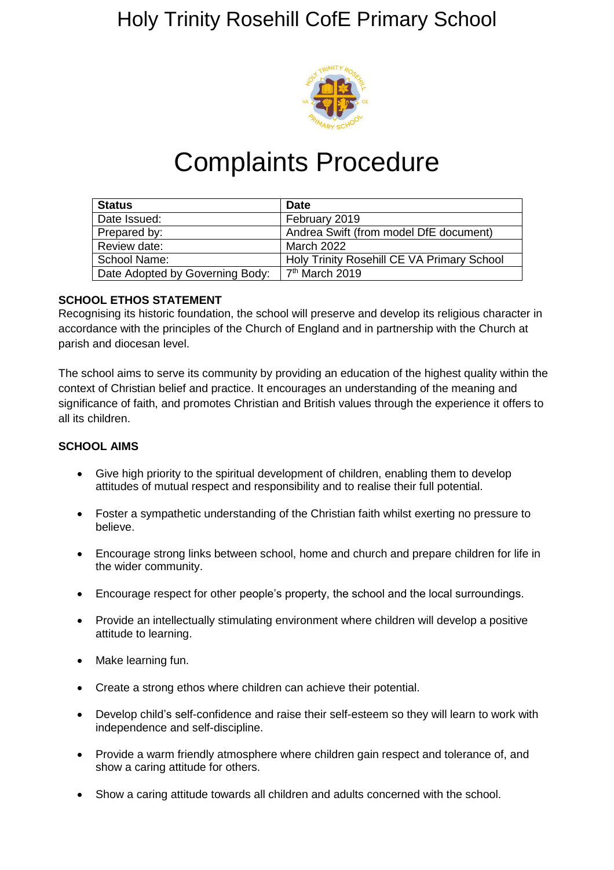### Holy Trinity Rosehill CofE Primary School



## Complaints Procedure

| <b>Status</b>                   | <b>Date</b>                                |
|---------------------------------|--------------------------------------------|
| Date Issued:                    | February 2019                              |
| Prepared by:                    | Andrea Swift (from model DfE document)     |
| Review date:                    | <b>March 2022</b>                          |
| School Name:                    | Holy Trinity Rosehill CE VA Primary School |
| Date Adopted by Governing Body: | 7 <sup>th</sup> March 2019                 |

#### **SCHOOL ETHOS STATEMENT**

Recognising its historic foundation, the school will preserve and develop its religious character in accordance with the principles of the Church of England and in partnership with the Church at parish and diocesan level.

The school aims to serve its community by providing an education of the highest quality within the context of Christian belief and practice. It encourages an understanding of the meaning and significance of faith, and promotes Christian and British values through the experience it offers to all its children.

#### **SCHOOL AIMS**

- Give high priority to the spiritual development of children, enabling them to develop attitudes of mutual respect and responsibility and to realise their full potential.
- Foster a sympathetic understanding of the Christian faith whilst exerting no pressure to believe.
- Encourage strong links between school, home and church and prepare children for life in the wider community.
- Encourage respect for other people's property, the school and the local surroundings.
- Provide an intellectually stimulating environment where children will develop a positive attitude to learning.
- Make learning fun.
- Create a strong ethos where children can achieve their potential.
- Develop child's self-confidence and raise their self-esteem so they will learn to work with independence and self-discipline.
- Provide a warm friendly atmosphere where children gain respect and tolerance of, and show a caring attitude for others.
- Show a caring attitude towards all children and adults concerned with the school.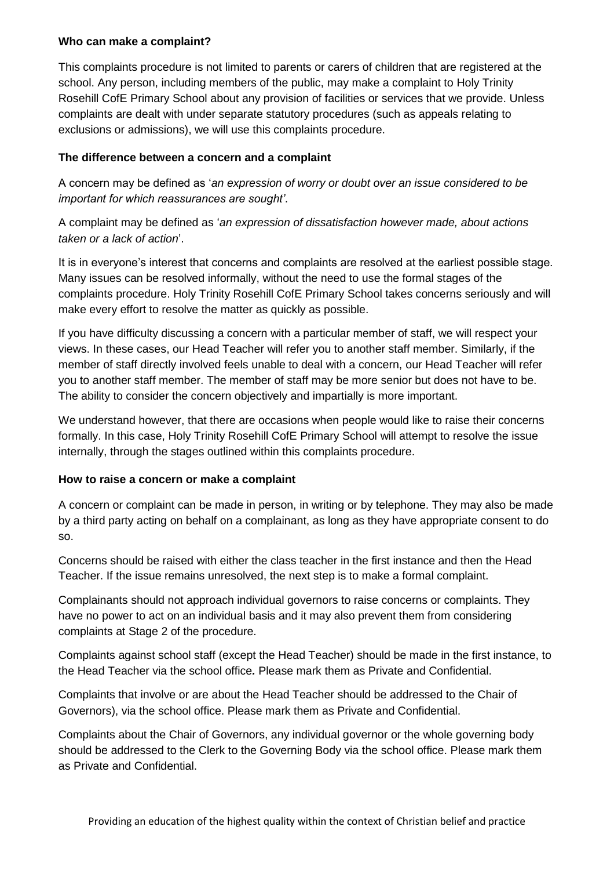#### **Who can make a complaint?**

This complaints procedure is not limited to parents or carers of children that are registered at the school. Any person, including members of the public, may make a complaint to Holy Trinity Rosehill CofE Primary School about any provision of facilities or services that we provide. Unless complaints are dealt with under separate statutory procedures (such as appeals relating to exclusions or admissions), we will use this complaints procedure.

#### **The difference between a concern and a complaint**

A concern may be defined as '*an expression of worry or doubt over an issue considered to be important for which reassurances are sought'*.

A complaint may be defined as '*an expression of dissatisfaction however made, about actions taken or a lack of action*'.

It is in everyone's interest that concerns and complaints are resolved at the earliest possible stage. Many issues can be resolved informally, without the need to use the formal stages of the complaints procedure. Holy Trinity Rosehill CofE Primary School takes concerns seriously and will make every effort to resolve the matter as quickly as possible.

If you have difficulty discussing a concern with a particular member of staff, we will respect your views. In these cases, our Head Teacher will refer you to another staff member. Similarly, if the member of staff directly involved feels unable to deal with a concern, our Head Teacher will refer you to another staff member. The member of staff may be more senior but does not have to be. The ability to consider the concern objectively and impartially is more important.

We understand however, that there are occasions when people would like to raise their concerns formally. In this case, Holy Trinity Rosehill CofE Primary School will attempt to resolve the issue internally, through the stages outlined within this complaints procedure.

#### **How to raise a concern or make a complaint**

A concern or complaint can be made in person, in writing or by telephone. They may also be made by a third party acting on behalf on a complainant, as long as they have appropriate consent to do so.

Concerns should be raised with either the class teacher in the first instance and then the Head Teacher. If the issue remains unresolved, the next step is to make a formal complaint.

Complainants should not approach individual governors to raise concerns or complaints. They have no power to act on an individual basis and it may also prevent them from considering complaints at Stage 2 of the procedure.

Complaints against school staff (except the Head Teacher) should be made in the first instance, to the Head Teacher via the school office*.* Please mark them as Private and Confidential.

Complaints that involve or are about the Head Teacher should be addressed to the Chair of Governors), via the school office. Please mark them as Private and Confidential.

Complaints about the Chair of Governors, any individual governor or the whole governing body should be addressed to the Clerk to the Governing Body via the school office. Please mark them as Private and Confidential.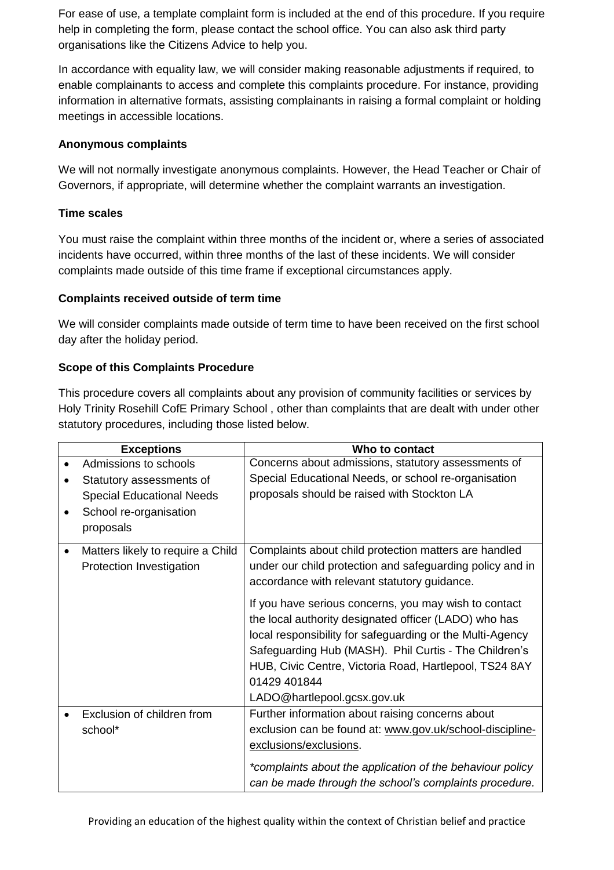For ease of use, a template complaint form is included at the end of this procedure. If you require help in completing the form, please contact the school office. You can also ask third party organisations like the Citizens Advice to help you.

In accordance with equality law, we will consider making reasonable adjustments if required, to enable complainants to access and complete this complaints procedure. For instance, providing information in alternative formats, assisting complainants in raising a formal complaint or holding meetings in accessible locations.

#### **Anonymous complaints**

We will not normally investigate anonymous complaints. However, the Head Teacher or Chair of Governors, if appropriate, will determine whether the complaint warrants an investigation.

#### **Time scales**

You must raise the complaint within three months of the incident or, where a series of associated incidents have occurred, within three months of the last of these incidents. We will consider complaints made outside of this time frame if exceptional circumstances apply.

#### **Complaints received outside of term time**

We will consider complaints made outside of term time to have been received on the first school day after the holiday period.

#### **Scope of this Complaints Procedure**

This procedure covers all complaints about any provision of community facilities or services by Holy Trinity Rosehill CofE Primary School , other than complaints that are dealt with under other statutory procedures, including those listed below.

| <b>Exceptions</b>                 | Who to contact                                                                                                 |
|-----------------------------------|----------------------------------------------------------------------------------------------------------------|
| Admissions to schools             | Concerns about admissions, statutory assessments of                                                            |
| Statutory assessments of          | Special Educational Needs, or school re-organisation                                                           |
| <b>Special Educational Needs</b>  | proposals should be raised with Stockton LA                                                                    |
| School re-organisation            |                                                                                                                |
| proposals                         |                                                                                                                |
| Matters likely to require a Child | Complaints about child protection matters are handled                                                          |
| Protection Investigation          | under our child protection and safeguarding policy and in<br>accordance with relevant statutory guidance.      |
|                                   | If you have serious concerns, you may wish to contact<br>the local authority designated officer (LADO) who has |
|                                   | local responsibility for safeguarding or the Multi-Agency                                                      |
|                                   | Safeguarding Hub (MASH). Phil Curtis - The Children's                                                          |
|                                   | HUB, Civic Centre, Victoria Road, Hartlepool, TS24 8AY                                                         |
|                                   | 01429 401844                                                                                                   |
|                                   | LADO@hartlepool.gcsx.gov.uk                                                                                    |
| Exclusion of children from        | Further information about raising concerns about                                                               |
| school*                           | exclusion can be found at: www.gov.uk/school-discipline-                                                       |
|                                   | exclusions/exclusions.                                                                                         |
|                                   | *complaints about the application of the behaviour policy                                                      |
|                                   | can be made through the school's complaints procedure.                                                         |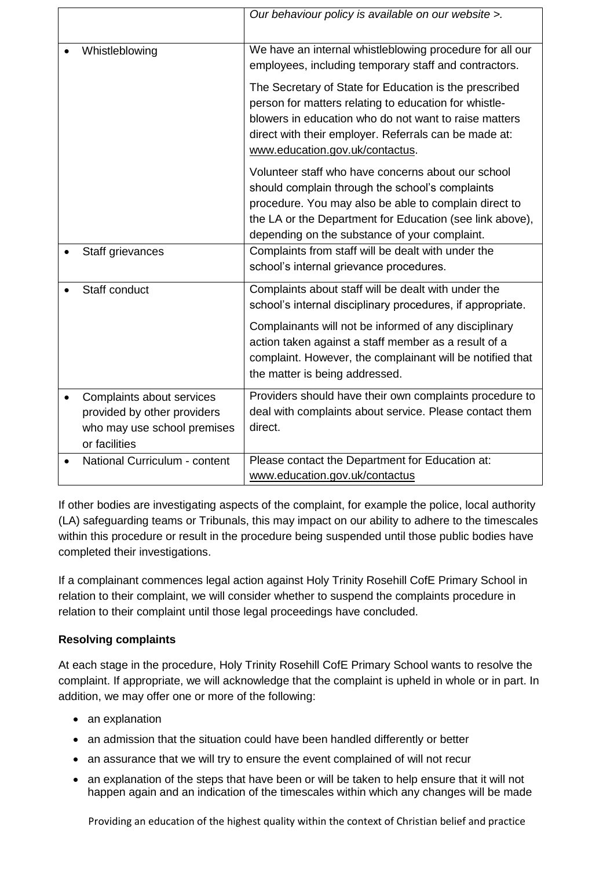|                                                                                                          | Our behaviour policy is available on our website >.                                                                                                                                                                                                                                                                               |
|----------------------------------------------------------------------------------------------------------|-----------------------------------------------------------------------------------------------------------------------------------------------------------------------------------------------------------------------------------------------------------------------------------------------------------------------------------|
| Whistleblowing                                                                                           | We have an internal whistleblowing procedure for all our<br>employees, including temporary staff and contractors.                                                                                                                                                                                                                 |
|                                                                                                          | The Secretary of State for Education is the prescribed<br>person for matters relating to education for whistle-<br>blowers in education who do not want to raise matters<br>direct with their employer. Referrals can be made at:<br>www.education.gov.uk/contactus.                                                              |
|                                                                                                          | Volunteer staff who have concerns about our school<br>should complain through the school's complaints<br>procedure. You may also be able to complain direct to<br>the LA or the Department for Education (see link above),<br>depending on the substance of your complaint.                                                       |
| Staff grievances                                                                                         | Complaints from staff will be dealt with under the<br>school's internal grievance procedures.                                                                                                                                                                                                                                     |
| Staff conduct                                                                                            | Complaints about staff will be dealt with under the<br>school's internal disciplinary procedures, if appropriate.<br>Complainants will not be informed of any disciplinary<br>action taken against a staff member as a result of a<br>complaint. However, the complainant will be notified that<br>the matter is being addressed. |
| Complaints about services<br>provided by other providers<br>who may use school premises<br>or facilities | Providers should have their own complaints procedure to<br>deal with complaints about service. Please contact them<br>direct.                                                                                                                                                                                                     |
| National Curriculum - content                                                                            | Please contact the Department for Education at:<br>www.education.gov.uk/contactus                                                                                                                                                                                                                                                 |

If other bodies are investigating aspects of the complaint, for example the police, local authority (LA) safeguarding teams or Tribunals, this may impact on our ability to adhere to the timescales within this procedure or result in the procedure being suspended until those public bodies have completed their investigations.

If a complainant commences legal action against Holy Trinity Rosehill CofE Primary School in relation to their complaint, we will consider whether to suspend the complaints procedure in relation to their complaint until those legal proceedings have concluded.

#### **Resolving complaints**

At each stage in the procedure, Holy Trinity Rosehill CofE Primary School wants to resolve the complaint. If appropriate, we will acknowledge that the complaint is upheld in whole or in part. In addition, we may offer one or more of the following:

- an explanation
- an admission that the situation could have been handled differently or better
- an assurance that we will try to ensure the event complained of will not recur
- an explanation of the steps that have been or will be taken to help ensure that it will not happen again and an indication of the timescales within which any changes will be made

Providing an education of the highest quality within the context of Christian belief and practice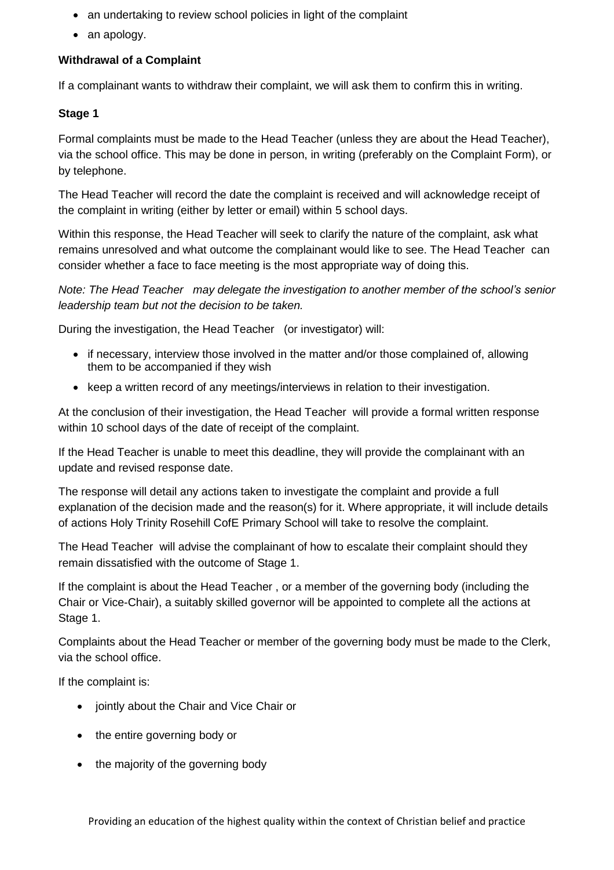- an undertaking to review school policies in light of the complaint
- an apology.

#### **Withdrawal of a Complaint**

If a complainant wants to withdraw their complaint, we will ask them to confirm this in writing.

#### **Stage 1**

Formal complaints must be made to the Head Teacher (unless they are about the Head Teacher), via the school office. This may be done in person, in writing (preferably on the Complaint Form), or by telephone.

The Head Teacher will record the date the complaint is received and will acknowledge receipt of the complaint in writing (either by letter or email) within 5 school days.

Within this response, the Head Teacher will seek to clarify the nature of the complaint, ask what remains unresolved and what outcome the complainant would like to see. The Head Teacher can consider whether a face to face meeting is the most appropriate way of doing this.

*Note: The Head Teacher may delegate the investigation to another member of the school's senior leadership team but not the decision to be taken.*

During the investigation, the Head Teacher (or investigator) will:

- if necessary, interview those involved in the matter and/or those complained of, allowing them to be accompanied if they wish
- keep a written record of any meetings/interviews in relation to their investigation.

At the conclusion of their investigation, the Head Teacher will provide a formal written response within 10 school days of the date of receipt of the complaint.

If the Head Teacher is unable to meet this deadline, they will provide the complainant with an update and revised response date.

The response will detail any actions taken to investigate the complaint and provide a full explanation of the decision made and the reason(s) for it. Where appropriate, it will include details of actions Holy Trinity Rosehill CofE Primary School will take to resolve the complaint.

The Head Teacher will advise the complainant of how to escalate their complaint should they remain dissatisfied with the outcome of Stage 1.

If the complaint is about the Head Teacher , or a member of the governing body (including the Chair or Vice-Chair), a suitably skilled governor will be appointed to complete all the actions at Stage 1.

Complaints about the Head Teacher or member of the governing body must be made to the Clerk, via the school office.

If the complaint is:

- jointly about the Chair and Vice Chair or
- the entire governing body or
- the majority of the governing body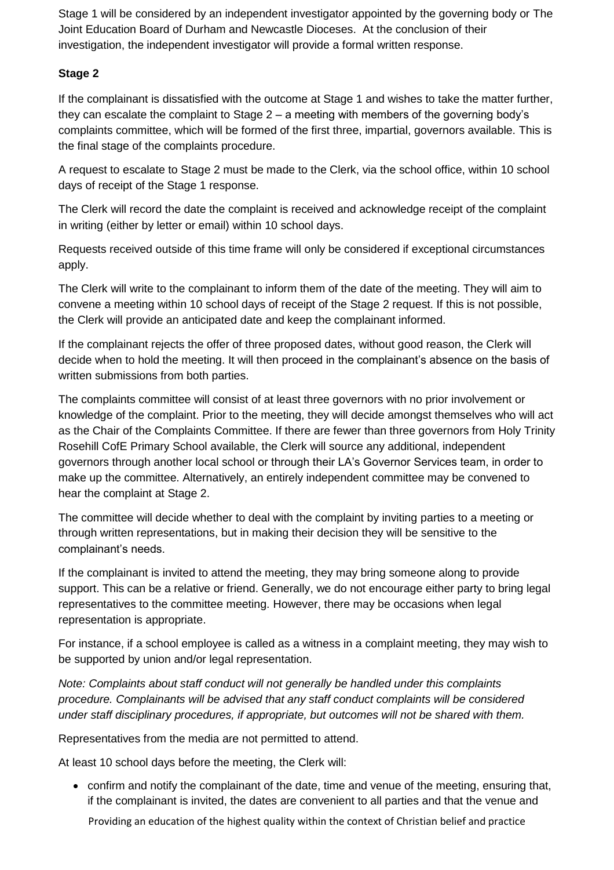Stage 1 will be considered by an independent investigator appointed by the governing body or The Joint Education Board of Durham and Newcastle Dioceses. At the conclusion of their investigation, the independent investigator will provide a formal written response.

#### **Stage 2**

If the complainant is dissatisfied with the outcome at Stage 1 and wishes to take the matter further, they can escalate the complaint to Stage 2 – a meeting with members of the governing body's complaints committee, which will be formed of the first three, impartial, governors available. This is the final stage of the complaints procedure.

A request to escalate to Stage 2 must be made to the Clerk, via the school office, within 10 school days of receipt of the Stage 1 response.

The Clerk will record the date the complaint is received and acknowledge receipt of the complaint in writing (either by letter or email) within 10 school days.

Requests received outside of this time frame will only be considered if exceptional circumstances apply.

The Clerk will write to the complainant to inform them of the date of the meeting. They will aim to convene a meeting within 10 school days of receipt of the Stage 2 request. If this is not possible, the Clerk will provide an anticipated date and keep the complainant informed.

If the complainant rejects the offer of three proposed dates, without good reason, the Clerk will decide when to hold the meeting. It will then proceed in the complainant's absence on the basis of written submissions from both parties.

The complaints committee will consist of at least three governors with no prior involvement or knowledge of the complaint. Prior to the meeting, they will decide amongst themselves who will act as the Chair of the Complaints Committee. If there are fewer than three governors from Holy Trinity Rosehill CofE Primary School available, the Clerk will source any additional, independent governors through another local school or through their LA's Governor Services team, in order to make up the committee. Alternatively, an entirely independent committee may be convened to hear the complaint at Stage 2.

The committee will decide whether to deal with the complaint by inviting parties to a meeting or through written representations, but in making their decision they will be sensitive to the complainant's needs.

If the complainant is invited to attend the meeting, they may bring someone along to provide support. This can be a relative or friend. Generally, we do not encourage either party to bring legal representatives to the committee meeting. However, there may be occasions when legal representation is appropriate.

For instance, if a school employee is called as a witness in a complaint meeting, they may wish to be supported by union and/or legal representation.

*Note: Complaints about staff conduct will not generally be handled under this complaints procedure. Complainants will be advised that any staff conduct complaints will be considered under staff disciplinary procedures, if appropriate, but outcomes will not be shared with them.* 

Representatives from the media are not permitted to attend.

At least 10 school days before the meeting, the Clerk will:

 confirm and notify the complainant of the date, time and venue of the meeting, ensuring that, if the complainant is invited, the dates are convenient to all parties and that the venue and

Providing an education of the highest quality within the context of Christian belief and practice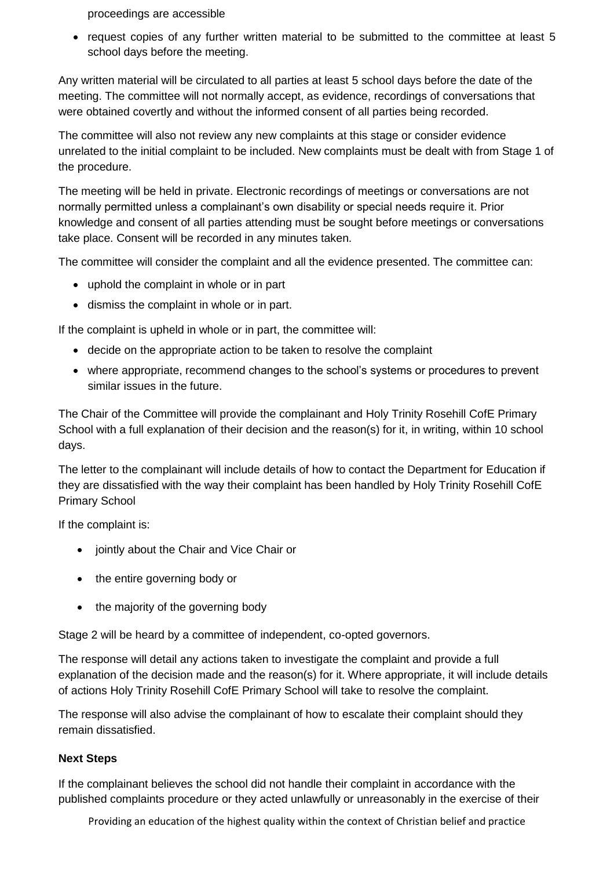proceedings are accessible

• request copies of any further written material to be submitted to the committee at least 5 school days before the meeting.

Any written material will be circulated to all parties at least 5 school days before the date of the meeting. The committee will not normally accept, as evidence, recordings of conversations that were obtained covertly and without the informed consent of all parties being recorded.

The committee will also not review any new complaints at this stage or consider evidence unrelated to the initial complaint to be included. New complaints must be dealt with from Stage 1 of the procedure.

The meeting will be held in private. Electronic recordings of meetings or conversations are not normally permitted unless a complainant's own disability or special needs require it. Prior knowledge and consent of all parties attending must be sought before meetings or conversations take place. Consent will be recorded in any minutes taken.

The committee will consider the complaint and all the evidence presented. The committee can:

- uphold the complaint in whole or in part
- dismiss the complaint in whole or in part.

If the complaint is upheld in whole or in part, the committee will:

- decide on the appropriate action to be taken to resolve the complaint
- where appropriate, recommend changes to the school's systems or procedures to prevent similar issues in the future.

The Chair of the Committee will provide the complainant and Holy Trinity Rosehill CofE Primary School with a full explanation of their decision and the reason(s) for it, in writing, within 10 school days.

The letter to the complainant will include details of how to contact the Department for Education if they are dissatisfied with the way their complaint has been handled by Holy Trinity Rosehill CofE Primary School

If the complaint is:

- jointly about the Chair and Vice Chair or
- the entire governing body or
- the majority of the governing body

Stage 2 will be heard by a committee of independent, co-opted governors.

The response will detail any actions taken to investigate the complaint and provide a full explanation of the decision made and the reason(s) for it. Where appropriate, it will include details of actions Holy Trinity Rosehill CofE Primary School will take to resolve the complaint.

The response will also advise the complainant of how to escalate their complaint should they remain dissatisfied.

#### **Next Steps**

If the complainant believes the school did not handle their complaint in accordance with the published complaints procedure or they acted unlawfully or unreasonably in the exercise of their

Providing an education of the highest quality within the context of Christian belief and practice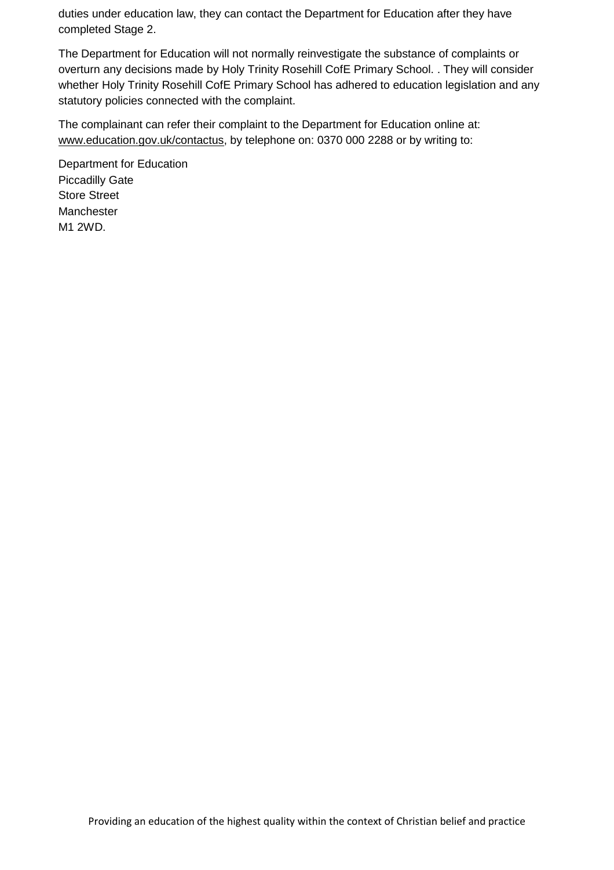duties under education law, they can contact the Department for Education after they have completed Stage 2.

The Department for Education will not normally reinvestigate the substance of complaints or overturn any decisions made by Holy Trinity Rosehill CofE Primary School. . They will consider whether Holy Trinity Rosehill CofE Primary School has adhered to education legislation and any statutory policies connected with the complaint.

The complainant can refer their complaint to the Department for Education online at: [www.education.gov.uk/contactus,](http://www.education.gov.uk/contactus) by telephone on: 0370 000 2288 or by writing to:

Department for Education Piccadilly Gate Store Street Manchester M1 2WD.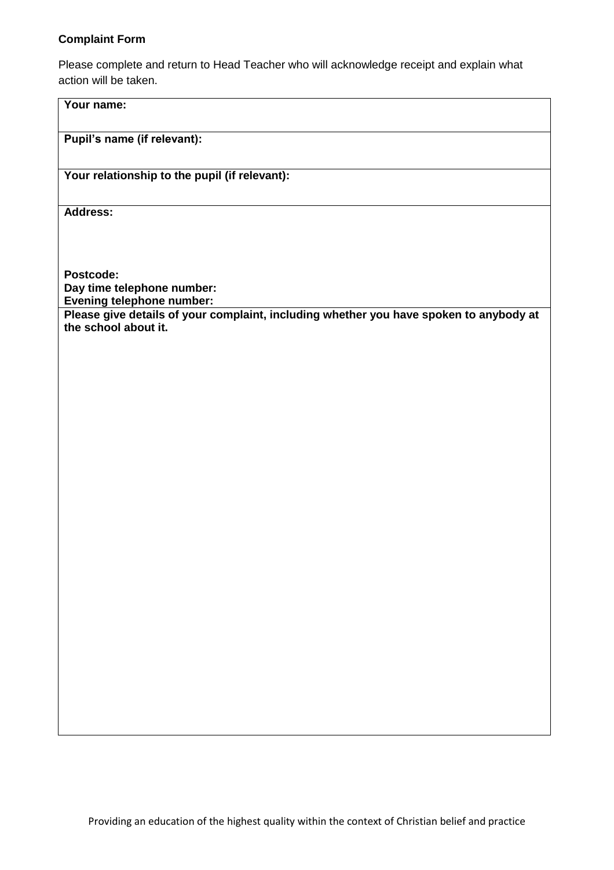#### **Complaint Form**

**Your name:**

Please complete and return to Head Teacher who will acknowledge receipt and explain what action will be taken.

# **Pupil's name (if relevant): Your relationship to the pupil (if relevant): Address: Postcode: Day time telephone number: Evening telephone number: Please give details of your complaint, including whether you have spoken to anybody at the school about it.**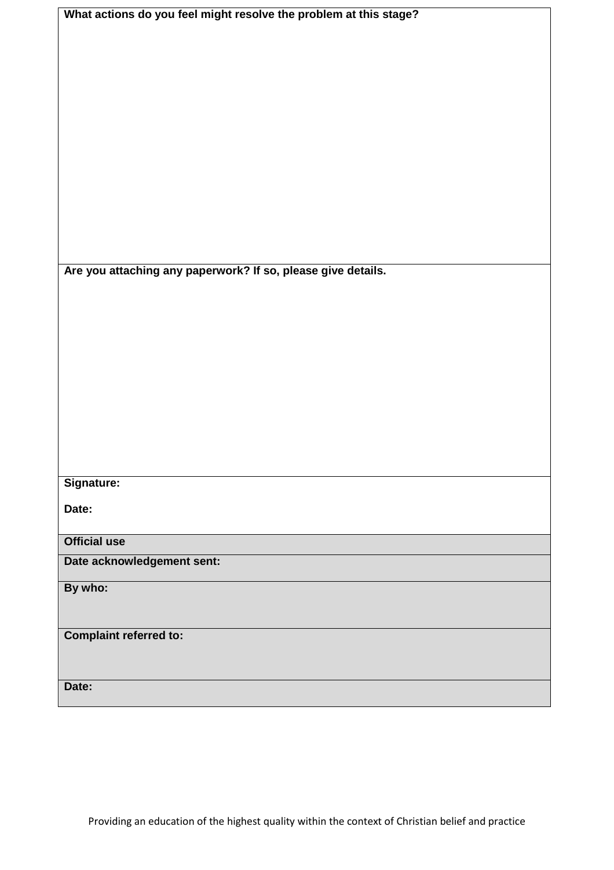| What actions do you feel might resolve the problem at this stage? |
|-------------------------------------------------------------------|
|                                                                   |
|                                                                   |
|                                                                   |
|                                                                   |
|                                                                   |
|                                                                   |
|                                                                   |
|                                                                   |
|                                                                   |
|                                                                   |
|                                                                   |
|                                                                   |
|                                                                   |
|                                                                   |
| Are you attaching any paperwork? If so, please give details.      |
|                                                                   |
|                                                                   |
|                                                                   |
|                                                                   |
|                                                                   |
|                                                                   |
|                                                                   |
|                                                                   |
|                                                                   |
|                                                                   |
| Signature:                                                        |
|                                                                   |
| Date:                                                             |
|                                                                   |
| <b>Official use</b>                                               |
| Date acknowledgement sent:                                        |
| By who:                                                           |
|                                                                   |
|                                                                   |
| <b>Complaint referred to:</b>                                     |
|                                                                   |
|                                                                   |
| Date:                                                             |
|                                                                   |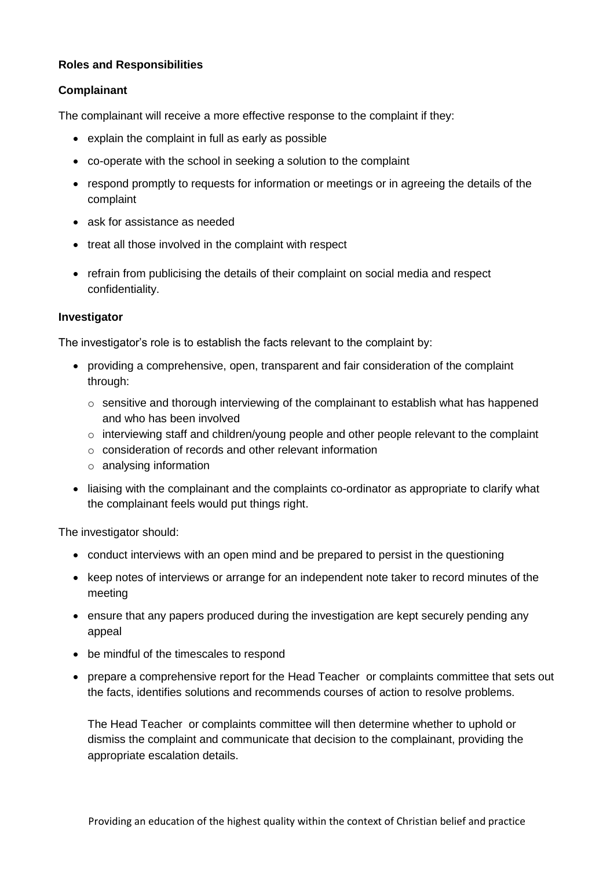#### **Roles and Responsibilities**

#### **Complainant**

The complainant will receive a more effective response to the complaint if they:

- explain the complaint in full as early as possible
- co-operate with the school in seeking a solution to the complaint
- respond promptly to requests for information or meetings or in agreeing the details of the complaint
- ask for assistance as needed
- treat all those involved in the complaint with respect
- refrain from publicising the details of their complaint on social media and respect confidentiality.

#### **Investigator**

The investigator's role is to establish the facts relevant to the complaint by:

- providing a comprehensive, open, transparent and fair consideration of the complaint through:
	- $\circ$  sensitive and thorough interviewing of the complainant to establish what has happened and who has been involved
	- o interviewing staff and children/young people and other people relevant to the complaint
	- o consideration of records and other relevant information
	- o analysing information
- liaising with the complainant and the complaints co-ordinator as appropriate to clarify what the complainant feels would put things right.

The investigator should:

- conduct interviews with an open mind and be prepared to persist in the questioning
- keep notes of interviews or arrange for an independent note taker to record minutes of the meeting
- ensure that any papers produced during the investigation are kept securely pending any appeal
- be mindful of the timescales to respond
- prepare a comprehensive report for the Head Teacher or complaints committee that sets out the facts, identifies solutions and recommends courses of action to resolve problems.

The Head Teacher or complaints committee will then determine whether to uphold or dismiss the complaint and communicate that decision to the complainant, providing the appropriate escalation details.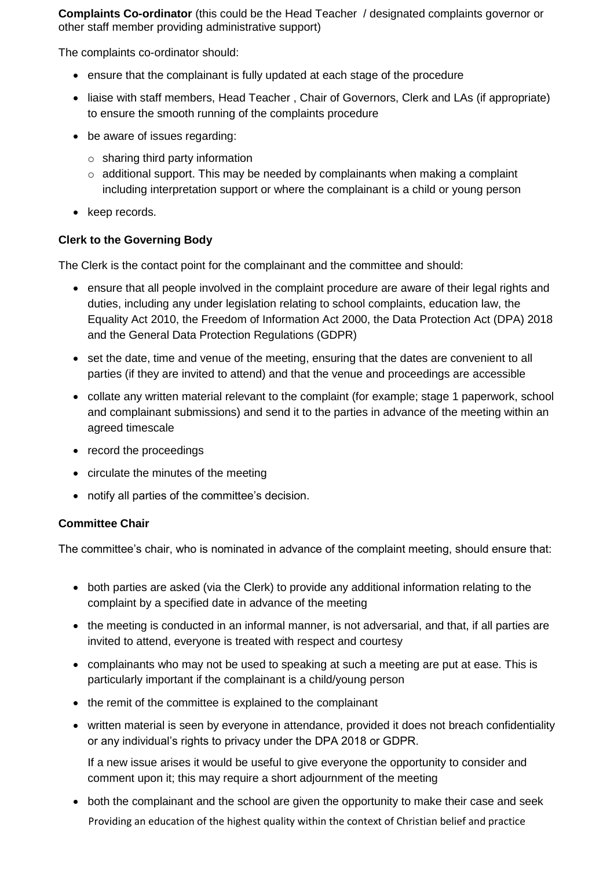**Complaints Co-ordinator** (this could be the Head Teacher / designated complaints governor or other staff member providing administrative support)

The complaints co-ordinator should:

- ensure that the complainant is fully updated at each stage of the procedure
- liaise with staff members, Head Teacher , Chair of Governors, Clerk and LAs (if appropriate) to ensure the smooth running of the complaints procedure
- be aware of issues regarding:
	- $\circ$  sharing third party information
	- $\circ$  additional support. This may be needed by complainants when making a complaint including interpretation support or where the complainant is a child or young person
- keep records.

#### **Clerk to the Governing Body**

The Clerk is the contact point for the complainant and the committee and should:

- ensure that all people involved in the complaint procedure are aware of their legal rights and duties, including any under legislation relating to school complaints, education law, the Equality Act 2010, the Freedom of Information Act 2000, the Data Protection Act (DPA) 2018 and the General Data Protection Regulations (GDPR)
- set the date, time and venue of the meeting, ensuring that the dates are convenient to all parties (if they are invited to attend) and that the venue and proceedings are accessible
- collate any written material relevant to the complaint (for example; stage 1 paperwork, school and complainant submissions) and send it to the parties in advance of the meeting within an agreed timescale
- record the proceedings
- circulate the minutes of the meeting
- notify all parties of the committee's decision.

#### **Committee Chair**

The committee's chair, who is nominated in advance of the complaint meeting, should ensure that:

- both parties are asked (via the Clerk) to provide any additional information relating to the complaint by a specified date in advance of the meeting
- the meeting is conducted in an informal manner, is not adversarial, and that, if all parties are invited to attend, everyone is treated with respect and courtesy
- complainants who may not be used to speaking at such a meeting are put at ease. This is particularly important if the complainant is a child/young person
- the remit of the committee is explained to the complainant
- written material is seen by everyone in attendance, provided it does not breach confidentiality or any individual's rights to privacy under the DPA 2018 or GDPR.

If a new issue arises it would be useful to give everyone the opportunity to consider and comment upon it; this may require a short adjournment of the meeting

Providing an education of the highest quality within the context of Christian belief and practice both the complainant and the school are given the opportunity to make their case and seek